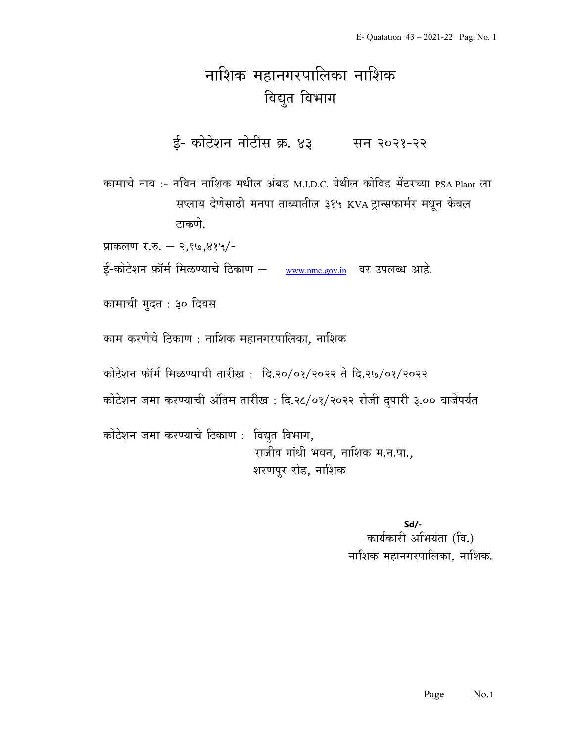## नाशिक महानगरपालिका नाशिक विद्युत विभाग

ई- कोटेशन नोटीस क्र. ४३ सन २०२१-२२

कामाचे नाव :- नविन नाशिक मधील अंबड़ M.I.D.C. येथील कोविड सेंटरच्या PSA Plant ला सप्लाय देणेसाठी मनपा ताब्यातील ३१५ KVA ट्रान्सफार्मर मधून केबल टाकणे.

प्राकलण र.रु. – २,९७,४१५/-

ई-कोटेशन फ़ॉर्म मिळण्याचे ठिकाण – www.nmc.gov.in वर उपलब्ध आहे.

कामाची मुदत : ३० दिवस

काम करणेचे ठिकाण : नाशिक महानगरपालिका. नाशिक

कोटेशन फॉर्म मिळण्याची तारीख: दि.२०/०१/२०२२ ते दि.२७/०१/२०२२

कोटेशन जमा करण्याची अंतिम तारीख : दि.२८/०१/२०२२ रोजी दुपारी ३.०० वाजेपर्यत

कोटेशन जमा करण्याचे ठिकाण : विद्युत विभाग, राजीव गांधी भवन, नाशिक म.न.पा., शरणपुर रोड, नाशिक

> Sd/- कार्यकारी अभियंता (वि.) नाशिक महानगरपालिका, नाशिक.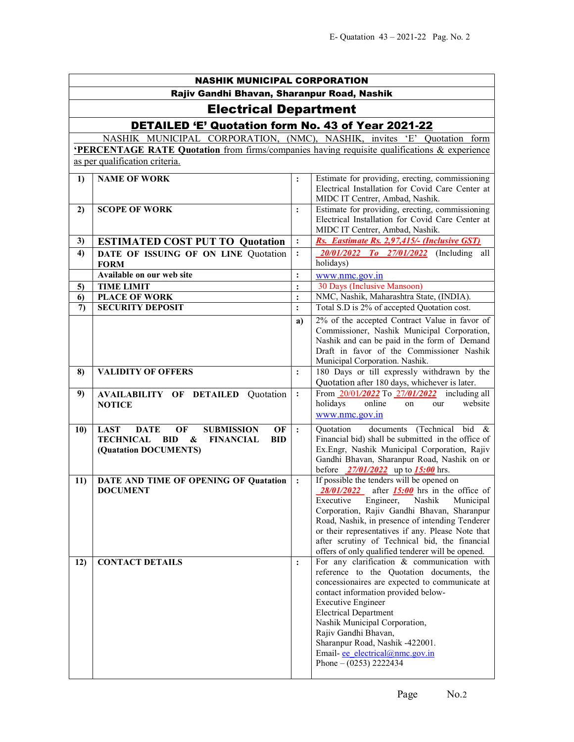| <b>NASHIK MUNICIPAL CORPORATION</b>         |                                                                                                                                                        |                |                                                                                                                                                                                                                                                                                                                                                                                                                           |  |  |
|---------------------------------------------|--------------------------------------------------------------------------------------------------------------------------------------------------------|----------------|---------------------------------------------------------------------------------------------------------------------------------------------------------------------------------------------------------------------------------------------------------------------------------------------------------------------------------------------------------------------------------------------------------------------------|--|--|
| Rajiv Gandhi Bhavan, Sharanpur Road, Nashik |                                                                                                                                                        |                |                                                                                                                                                                                                                                                                                                                                                                                                                           |  |  |
|                                             | <b>Electrical Department</b>                                                                                                                           |                |                                                                                                                                                                                                                                                                                                                                                                                                                           |  |  |
|                                             | DETAILED 'E' Quotation form No. 43 of Year 2021-22                                                                                                     |                |                                                                                                                                                                                                                                                                                                                                                                                                                           |  |  |
|                                             | NASHIK MUNICIPAL CORPORATION, (NMC), NASHIK, invites 'E' Quotation form                                                                                |                |                                                                                                                                                                                                                                                                                                                                                                                                                           |  |  |
|                                             | <b>PERCENTAGE RATE Quotation</b> from firms/companies having requisite qualifications & experience                                                     |                |                                                                                                                                                                                                                                                                                                                                                                                                                           |  |  |
|                                             | as per qualification criteria.                                                                                                                         |                |                                                                                                                                                                                                                                                                                                                                                                                                                           |  |  |
| 1)                                          | <b>NAME OF WORK</b>                                                                                                                                    | $\ddot{\cdot}$ | Estimate for providing, erecting, commissioning<br>Electrical Installation for Covid Care Center at<br>MIDC IT Centrer, Ambad, Nashik.                                                                                                                                                                                                                                                                                    |  |  |
| 2)                                          | <b>SCOPE OF WORK</b>                                                                                                                                   | $\ddot{\cdot}$ | Estimate for providing, erecting, commissioning<br>Electrical Installation for Covid Care Center at<br>MIDC IT Centrer, Ambad, Nashik.                                                                                                                                                                                                                                                                                    |  |  |
| 3)                                          | <b>ESTIMATED COST PUT TO Quotation</b>                                                                                                                 | $\ddot{\cdot}$ | Rs. Eastimate Rs. 2,97,415/- (Inclusive GST)                                                                                                                                                                                                                                                                                                                                                                              |  |  |
| 4)                                          | DATE OF ISSUING OF ON LINE Quotation<br><b>FORM</b>                                                                                                    | $\ddot{\cdot}$ | (Including all<br>20/01/2022 To 27/01/2022<br>holidays)                                                                                                                                                                                                                                                                                                                                                                   |  |  |
|                                             | Available on our web site                                                                                                                              | $\ddot{\cdot}$ | www.nmc.gov.in                                                                                                                                                                                                                                                                                                                                                                                                            |  |  |
| 5)<br>6)                                    | <b>TIME LIMIT</b><br><b>PLACE OF WORK</b>                                                                                                              | $\colon$       | 30 Days (Inclusive Mansoon)<br>NMC, Nashik, Maharashtra State, (INDIA).                                                                                                                                                                                                                                                                                                                                                   |  |  |
| $\mathcal{L}$                               | <b>SECURITY DEPOSIT</b>                                                                                                                                | $\ddot{\cdot}$ | Total S.D is 2% of accepted Quotation cost.                                                                                                                                                                                                                                                                                                                                                                               |  |  |
|                                             |                                                                                                                                                        | a)             | 2% of the accepted Contract Value in favor of<br>Commissioner, Nashik Municipal Corporation,<br>Nashik and can be paid in the form of Demand<br>Draft in favor of the Commissioner Nashik                                                                                                                                                                                                                                 |  |  |
| 8)                                          | <b>VALIDITY OF OFFERS</b>                                                                                                                              | $\ddot{\cdot}$ | Municipal Corporation. Nashik.<br>180 Days or till expressly withdrawn by the<br>Quotation after 180 days, whichever is later.                                                                                                                                                                                                                                                                                            |  |  |
| 9)                                          | <b>AVAILABILITY OF DETAILED Quotation</b><br><b>NOTICE</b>                                                                                             | $\ddot{\cdot}$ | From 20/01/2022 To 27/01/2022 including all<br>online<br>holidays<br>website<br>on<br>our<br>www.nmc.gov.in                                                                                                                                                                                                                                                                                                               |  |  |
| 10)                                         | <b>LAST</b><br><b>DATE</b><br>OF<br><b>SUBMISSION</b><br>OF<br><b>TECHNICAL</b><br>BID<br>&<br><b>FINANCIAL</b><br><b>BID</b><br>(Quatation DOCUMENTS) | $\ddot{\cdot}$ | documents (Technical bid &<br>Quotation<br>Financial bid) shall be submitted in the office of<br>Ex.Engr, Nashik Municipal Corporation, Rajiv<br>Gandhi Bhavan, Sharanpur Road, Nashik on or<br>before $\frac{27}{01}{2022}$ up to $\frac{15:00}{2}$ hrs.                                                                                                                                                                 |  |  |
| 11)                                         | DATE AND TIME OF OPENING OF Quatation<br><b>DOCUMENT</b>                                                                                               | $\ddot{\cdot}$ | If possible the tenders will be opened on<br>$\frac{28}{01}{2022}$ after <b>15:00</b> hrs in the office of<br>Executive<br>Engineer,<br>Nashik<br>Municipal<br>Corporation, Rajiv Gandhi Bhavan, Sharanpur<br>Road, Nashik, in presence of intending Tenderer<br>or their representatives if any. Please Note that<br>after scrutiny of Technical bid, the financial<br>offers of only qualified tenderer will be opened. |  |  |
| 12)                                         | <b>CONTACT DETAILS</b>                                                                                                                                 | $\ddot{\cdot}$ | For any clarification & communication with<br>reference to the Quotation documents, the<br>concessionaires are expected to communicate at<br>contact information provided below-<br><b>Executive Engineer</b><br><b>Electrical Department</b><br>Nashik Municipal Corporation,<br>Rajiv Gandhi Bhavan,<br>Sharanpur Road, Nashik -422001.<br>Email- ee electrical@nmc.gov.in<br>Phone $- (0253)$ 2222434                  |  |  |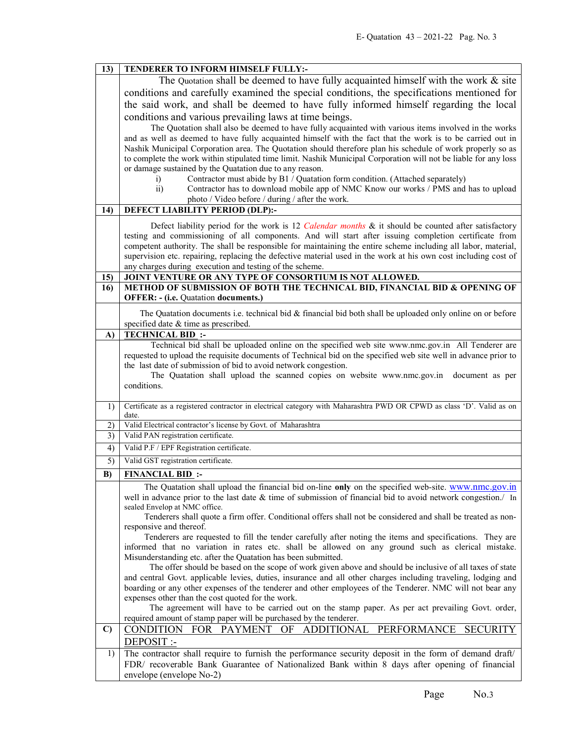| 13)          | TENDERER TO INFORM HIMSELF FULLY:-                                                                                                                    |  |  |  |
|--------------|-------------------------------------------------------------------------------------------------------------------------------------------------------|--|--|--|
|              | The Quotation shall be deemed to have fully acquainted himself with the work $\&$ site                                                                |  |  |  |
|              | conditions and carefully examined the special conditions, the specifications mentioned for                                                            |  |  |  |
|              | the said work, and shall be deemed to have fully informed himself regarding the local                                                                 |  |  |  |
|              | conditions and various prevailing laws at time beings.                                                                                                |  |  |  |
|              | The Quotation shall also be deemed to have fully acquainted with various items involved in the works                                                  |  |  |  |
|              | and as well as deemed to have fully acquainted himself with the fact that the work is to be carried out in                                            |  |  |  |
|              | Nashik Municipal Corporation area. The Quotation should therefore plan his schedule of work properly so as                                            |  |  |  |
|              | to complete the work within stipulated time limit. Nashik Municipal Corporation will not be liable for any loss                                       |  |  |  |
|              | or damage sustained by the Quatation due to any reason.                                                                                               |  |  |  |
|              | Contractor must abide by B1 / Quatation form condition. (Attached separately)<br>i)                                                                   |  |  |  |
|              | $\overline{ii}$ )<br>Contractor has to download mobile app of NMC Know our works / PMS and has to upload                                              |  |  |  |
|              | photo / Video before / during / after the work.                                                                                                       |  |  |  |
| 14)          | <b>DEFECT LIABILITY PERIOD (DLP):-</b>                                                                                                                |  |  |  |
|              | Defect liability period for the work is 12 Calendar months & it should be counted after satisfactory                                                  |  |  |  |
|              | testing and commissioning of all components. And will start after issuing completion certificate from                                                 |  |  |  |
|              | competent authority. The shall be responsible for maintaining the entire scheme including all labor, material,                                        |  |  |  |
|              | supervision etc. repairing, replacing the defective material used in the work at his own cost including cost of                                       |  |  |  |
| 15)          | any charges during execution and testing of the scheme.<br>JOINT VENTURE OR ANY TYPE OF CONSORTIUM IS NOT ALLOWED.                                    |  |  |  |
| 16)          | METHOD OF SUBMISSION OF BOTH THE TECHNICAL BID, FINANCIAL BID & OPENING OF                                                                            |  |  |  |
|              | <b>OFFER: - (i.e. Quatation documents.)</b>                                                                                                           |  |  |  |
|              |                                                                                                                                                       |  |  |  |
|              | The Quatation documents i.e. technical bid $\&$ financial bid both shall be uploaded only online on or before<br>specified date & time as prescribed. |  |  |  |
| A)           | <b>TECHNICAL BID:</b>                                                                                                                                 |  |  |  |
|              | Technical bid shall be uploaded online on the specified web site www.nmc.gov.in All Tenderer are                                                      |  |  |  |
|              | requested to upload the requisite documents of Technical bid on the specified web site well in advance prior to                                       |  |  |  |
|              | the last date of submission of bid to avoid network congestion.                                                                                       |  |  |  |
|              | The Quatation shall upload the scanned copies on website www.nmc.gov.in document as per                                                               |  |  |  |
|              | conditions.                                                                                                                                           |  |  |  |
| 1)           | Certificate as a registered contractor in electrical category with Maharashtra PWD OR CPWD as class 'D'. Valid as on                                  |  |  |  |
|              | date.                                                                                                                                                 |  |  |  |
| 2)           | Valid Electrical contractor's license by Govt. of Maharashtra                                                                                         |  |  |  |
| 3)           | Valid PAN registration certificate.                                                                                                                   |  |  |  |
| 4)           | Valid P.F / EPF Registration certificate.                                                                                                             |  |  |  |
| 5)           | Valid GST registration certificate.                                                                                                                   |  |  |  |
| B)           | <b>FINANCIAL BID:</b>                                                                                                                                 |  |  |  |
|              | The Quatation shall upload the financial bid on-line only on the specified web-site. www.nmc.gov.in                                                   |  |  |  |
|              | well in advance prior to the last date & time of submission of financial bid to avoid network congestion./ In                                         |  |  |  |
|              | sealed Envelop at NMC office.                                                                                                                         |  |  |  |
|              | Tenderers shall quote a firm offer. Conditional offers shall not be considered and shall be treated as non-<br>responsive and thereof.                |  |  |  |
|              | Tenderers are requested to fill the tender carefully after noting the items and specifications. They are                                              |  |  |  |
|              | informed that no variation in rates etc. shall be allowed on any ground such as clerical mistake.                                                     |  |  |  |
|              | Misunderstanding etc. after the Quatation has been submitted.                                                                                         |  |  |  |
|              | The offer should be based on the scope of work given above and should be inclusive of all taxes of state                                              |  |  |  |
|              | and central Govt. applicable levies, duties, insurance and all other charges including traveling, lodging and                                         |  |  |  |
|              | boarding or any other expenses of the tenderer and other employees of the Tenderer. NMC will not bear any                                             |  |  |  |
|              | expenses other than the cost quoted for the work.<br>The agreement will have to be carried out on the stamp paper. As per act prevailing Govt. order, |  |  |  |
|              | required amount of stamp paper will be purchased by the tenderer.                                                                                     |  |  |  |
| $\mathbf{C}$ | CONDITION FOR PAYMENT OF ADDITIONAL PERFORMANCE<br><b>SECURITY</b>                                                                                    |  |  |  |
|              | DEPOSIT :-                                                                                                                                            |  |  |  |
| 1)           | The contractor shall require to furnish the performance security deposit in the form of demand draft/                                                 |  |  |  |
|              | FDR/ recoverable Bank Guarantee of Nationalized Bank within 8 days after opening of financial                                                         |  |  |  |
|              | envelope (envelope No-2)                                                                                                                              |  |  |  |
|              |                                                                                                                                                       |  |  |  |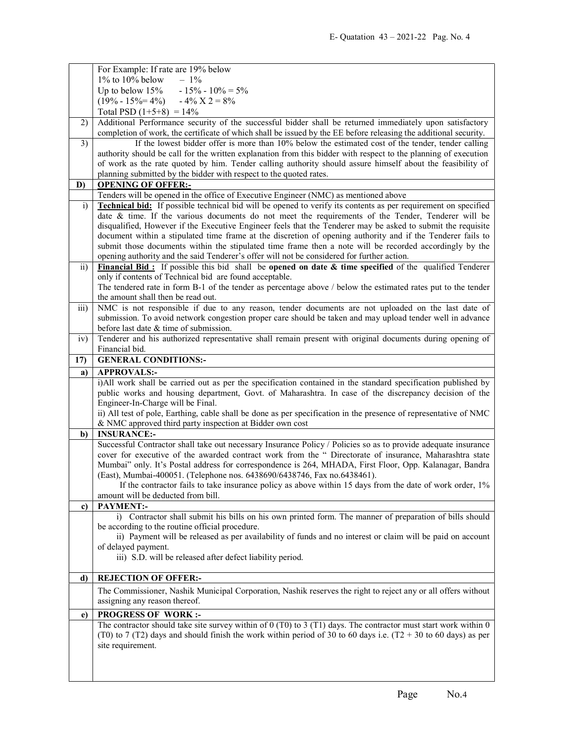|                 | For Example: If rate are 19% below                                                                                                                                                                                           |
|-----------------|------------------------------------------------------------------------------------------------------------------------------------------------------------------------------------------------------------------------------|
|                 | $1\%$ to $10\%$ below<br>$-1\%$                                                                                                                                                                                              |
|                 | Up to below $15%$<br>$-15\% - 10\% = 5\%$                                                                                                                                                                                    |
|                 | $(19\% - 15\% = 4\%) - 4\% \text{ X } 2 = 8\%$                                                                                                                                                                               |
|                 | Total PSD $(1+5+8) = 14\%$                                                                                                                                                                                                   |
| 2)              | Additional Performance security of the successful bidder shall be returned immediately upon satisfactory<br>completion of work, the certificate of which shall be issued by the EE before releasing the additional security. |
| 3)              | If the lowest bidder offer is more than 10% below the estimated cost of the tender, tender calling                                                                                                                           |
|                 | authority should be call for the written explanation from this bidder with respect to the planning of execution                                                                                                              |
|                 | of work as the rate quoted by him. Tender calling authority should assure himself about the feasibility of                                                                                                                   |
|                 | planning submitted by the bidder with respect to the quoted rates.                                                                                                                                                           |
| D)              | <b>OPENING OF OFFER:-</b><br>Tenders will be opened in the office of Executive Engineer (NMC) as mentioned above                                                                                                             |
| i)              | <b>Technical bid:</b> If possible technical bid will be opened to verify its contents as per requirement on specified                                                                                                        |
|                 | date & time. If the various documents do not meet the requirements of the Tender, Tenderer will be                                                                                                                           |
|                 | disqualified, However if the Executive Engineer feels that the Tenderer may be asked to submit the requisite                                                                                                                 |
|                 | document within a stipulated time frame at the discretion of opening authority and if the Tenderer fails to                                                                                                                  |
|                 | submit those documents within the stipulated time frame then a note will be recorded accordingly by the                                                                                                                      |
|                 | opening authority and the said Tenderer's offer will not be considered for further action.                                                                                                                                   |
| $\overline{ii}$ | Financial Bid: If possible this bid shall be opened on date $\&$ time specified of the qualified Tenderer                                                                                                                    |
|                 | only if contents of Technical bid are found acceptable.                                                                                                                                                                      |
|                 | The tendered rate in form B-1 of the tender as percentage above / below the estimated rates put to the tender                                                                                                                |
|                 | the amount shall then be read out.                                                                                                                                                                                           |
| iii)            | NMC is not responsible if due to any reason, tender documents are not uploaded on the last date of                                                                                                                           |
|                 | submission. To avoid network congestion proper care should be taken and may upload tender well in advance                                                                                                                    |
|                 | before last date & time of submission.                                                                                                                                                                                       |
| iv)             | Tenderer and his authorized representative shall remain present with original documents during opening of                                                                                                                    |
|                 | Financial bid.                                                                                                                                                                                                               |
| 17)             | <b>GENERAL CONDITIONS:-</b>                                                                                                                                                                                                  |
| a)              | <b>APPROVALS:-</b>                                                                                                                                                                                                           |
|                 | i)All work shall be carried out as per the specification contained in the standard specification published by                                                                                                                |
|                 | public works and housing department, Govt. of Maharashtra. In case of the discrepancy decision of the<br>Engineer-In-Charge will be Final.                                                                                   |
|                 | ii) All test of pole, Earthing, cable shall be done as per specification in the presence of representative of NMC                                                                                                            |
|                 | & NMC approved third party inspection at Bidder own cost                                                                                                                                                                     |
| b)              | <b>INSURANCE:-</b>                                                                                                                                                                                                           |
|                 | Successful Contractor shall take out necessary Insurance Policy / Policies so as to provide adequate insurance                                                                                                               |
|                 | cover for executive of the awarded contract work from the " Directorate of insurance, Maharashtra state                                                                                                                      |
|                 | Mumbai" only. It's Postal address for correspondence is 264, MHADA, First Floor, Opp. Kalanagar, Bandra                                                                                                                      |
|                 | (East), Mumbai-400051. (Telephone nos. 6438690/6438746, Fax no.6438461).                                                                                                                                                     |
|                 | If the contractor fails to take insurance policy as above within 15 days from the date of work order, 1%                                                                                                                     |
|                 | amount will be deducted from bill.                                                                                                                                                                                           |
| c)              | PAYMENT:-                                                                                                                                                                                                                    |
|                 | i) Contractor shall submit his bills on his own printed form. The manner of preparation of bills should                                                                                                                      |
|                 | be according to the routine official procedure.<br>ii) Payment will be released as per availability of funds and no interest or claim will be paid on account                                                                |
|                 | of delayed payment.                                                                                                                                                                                                          |
|                 | iii) S.D. will be released after defect liability period.                                                                                                                                                                    |
|                 |                                                                                                                                                                                                                              |
| d)              | <b>REJECTION OF OFFER:-</b>                                                                                                                                                                                                  |
|                 | The Commissioner, Nashik Municipal Corporation, Nashik reserves the right to reject any or all offers without                                                                                                                |
|                 | assigning any reason thereof.                                                                                                                                                                                                |
| e)              | <b>PROGRESS OF WORK:-</b>                                                                                                                                                                                                    |
|                 | The contractor should take site survey within of $0$ (T0) to 3 (T1) days. The contractor must start work within $0$                                                                                                          |
|                 | (T0) to 7 (T2) days and should finish the work within period of 30 to 60 days i.e. (T2 + 30 to 60 days) as per                                                                                                               |
|                 | site requirement.                                                                                                                                                                                                            |
|                 |                                                                                                                                                                                                                              |
|                 |                                                                                                                                                                                                                              |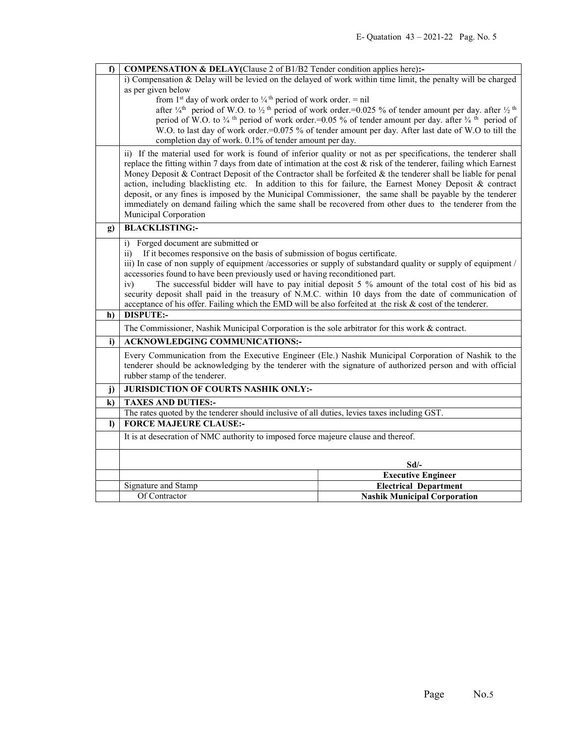| f)           | <b>COMPENSATION &amp; DELAY</b> (Clause 2 of B1/B2 Tender condition applies here):-                                                                                                                                                                                              |                                                                                                                |  |
|--------------|----------------------------------------------------------------------------------------------------------------------------------------------------------------------------------------------------------------------------------------------------------------------------------|----------------------------------------------------------------------------------------------------------------|--|
|              | i) Compensation & Delay will be levied on the delayed of work within time limit, the penalty will be charged                                                                                                                                                                     |                                                                                                                |  |
|              | as per given below                                                                                                                                                                                                                                                               |                                                                                                                |  |
|              | from 1 <sup>st</sup> day of work order to $\frac{1}{4}$ <sup>th</sup> period of work order. = nil<br>after $\frac{1}{4}$ <sup>th</sup> period of W.O. to $\frac{1}{2}$ <sup>th</sup> period of work order. = 0.025 % of tender amount per day. after $\frac{1}{2}$ <sup>th</sup> |                                                                                                                |  |
|              | period of W.O. to $\frac{3}{4}$ <sup>th</sup> period of work order.=0.05 % of tender amount per day. after $\frac{3}{4}$ <sup>th</sup> period of                                                                                                                                 |                                                                                                                |  |
|              |                                                                                                                                                                                                                                                                                  | W.O. to last day of work order.=0.075 % of tender amount per day. After last date of W.O to till the           |  |
|              | completion day of work. 0.1% of tender amount per day.                                                                                                                                                                                                                           |                                                                                                                |  |
|              | ii) If the material used for work is found of inferior quality or not as per specifications, the tenderer shall                                                                                                                                                                  |                                                                                                                |  |
|              | replace the fitting within 7 days from date of intimation at the cost $\&$ risk of the tenderer, failing which Earnest<br>Money Deposit & Contract Deposit of the Contractor shall be forfeited & the tenderer shall be liable for penal                                         |                                                                                                                |  |
|              |                                                                                                                                                                                                                                                                                  | action, including blacklisting etc. In addition to this for failure, the Earnest Money Deposit & contract      |  |
|              |                                                                                                                                                                                                                                                                                  | deposit, or any fines is imposed by the Municipal Commissioner, the same shall be payable by the tenderer      |  |
|              |                                                                                                                                                                                                                                                                                  | immediately on demand failing which the same shall be recovered from other dues to the tenderer from the       |  |
|              | Municipal Corporation                                                                                                                                                                                                                                                            |                                                                                                                |  |
| g)           | <b>BLACKLISTING:-</b>                                                                                                                                                                                                                                                            |                                                                                                                |  |
|              | i) Forged document are submitted or                                                                                                                                                                                                                                              |                                                                                                                |  |
|              | If it becomes responsive on the basis of submission of bogus certificate.<br>$\overline{11}$ )                                                                                                                                                                                   |                                                                                                                |  |
|              | accessories found to have been previously used or having reconditioned part.                                                                                                                                                                                                     | iii) In case of non supply of equipment /accessories or supply of substandard quality or supply of equipment / |  |
|              | iv)                                                                                                                                                                                                                                                                              | The successful bidder will have to pay initial deposit 5 % amount of the total cost of his bid as              |  |
|              | security deposit shall paid in the treasury of N.M.C. within 10 days from the date of communication of                                                                                                                                                                           |                                                                                                                |  |
|              | acceptance of his offer. Failing which the EMD will be also forfeited at the risk & cost of the tenderer.                                                                                                                                                                        |                                                                                                                |  |
| h)           | <b>DISPUTE:-</b>                                                                                                                                                                                                                                                                 |                                                                                                                |  |
|              | The Commissioner, Nashik Municipal Corporation is the sole arbitrator for this work & contract.                                                                                                                                                                                  |                                                                                                                |  |
| i)           | <b>ACKNOWLEDGING COMMUNICATIONS:-</b>                                                                                                                                                                                                                                            |                                                                                                                |  |
|              | Every Communication from the Executive Engineer (Ele.) Nashik Municipal Corporation of Nashik to the                                                                                                                                                                             |                                                                                                                |  |
|              | tenderer should be acknowledging by the tenderer with the signature of authorized person and with official                                                                                                                                                                       |                                                                                                                |  |
|              | rubber stamp of the tenderer.                                                                                                                                                                                                                                                    |                                                                                                                |  |
| $\mathbf{j}$ | JURISDICTION OF COURTS NASHIK ONLY:-                                                                                                                                                                                                                                             |                                                                                                                |  |
| $\bf k)$     | <b>TAXES AND DUTIES:-</b>                                                                                                                                                                                                                                                        |                                                                                                                |  |
| $\bf{D}$     | The rates quoted by the tenderer should inclusive of all duties, levies taxes including GST.<br><b>FORCE MAJEURE CLAUSE:-</b>                                                                                                                                                    |                                                                                                                |  |
|              |                                                                                                                                                                                                                                                                                  |                                                                                                                |  |
|              | It is at desecration of NMC authority to imposed force majeure clause and thereof.                                                                                                                                                                                               |                                                                                                                |  |
|              |                                                                                                                                                                                                                                                                                  | $Sd$ /-                                                                                                        |  |
|              |                                                                                                                                                                                                                                                                                  | <b>Executive Engineer</b>                                                                                      |  |
|              | Signature and Stamp                                                                                                                                                                                                                                                              | <b>Electrical Department</b>                                                                                   |  |
|              | Of Contractor                                                                                                                                                                                                                                                                    | <b>Nashik Municipal Corporation</b>                                                                            |  |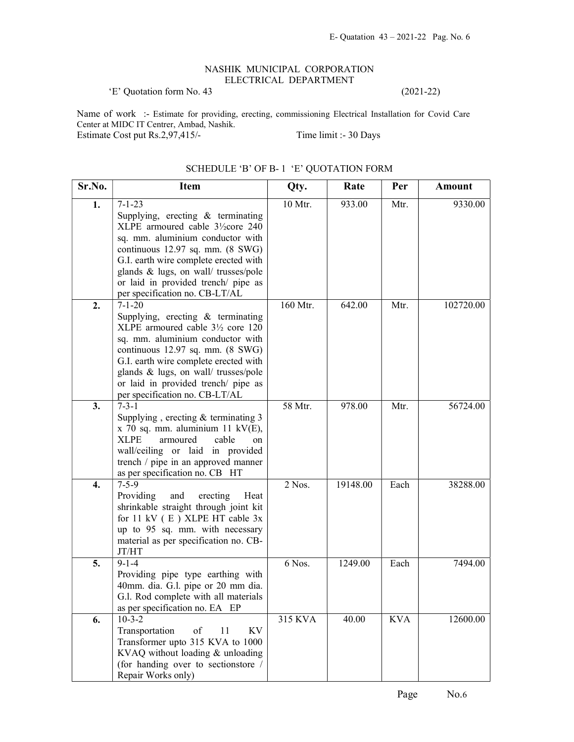## NASHIK MUNICIPAL CORPORATION ELECTRICAL DEPARTMENT

'E' Quotation form No. 43 (2021-22)

Name of work :- Estimate for providing, erecting, commissioning Electrical Installation for Covid Care Center at MIDC IT Centrer, Ambad, Nashik. Estimate Cost put Rs.2,97,415/- Time limit :- 30 Days

| Sr.No. | <b>Item</b>                                                          | Qty.     | Rate     | Per        | Amount    |
|--------|----------------------------------------------------------------------|----------|----------|------------|-----------|
| 1.     | $7 - 1 - 23$                                                         | 10 Mtr.  | 933.00   | Mtr.       | 9330.00   |
|        | Supplying, erecting $&$ terminating                                  |          |          |            |           |
|        | XLPE armoured cable 3½core 240                                       |          |          |            |           |
|        | sq. mm. aluminium conductor with                                     |          |          |            |           |
|        | continuous 12.97 sq. mm. (8 SWG)                                     |          |          |            |           |
|        | G.I. earth wire complete erected with                                |          |          |            |           |
|        | glands & lugs, on wall/ trusses/pole                                 |          |          |            |           |
|        | or laid in provided trench/ pipe as                                  |          |          |            |           |
|        | per specification no. CB-LT/AL                                       |          |          |            |           |
| 2.     | $7 - 1 - 20$                                                         | 160 Mtr. | 642.00   | Mtr.       | 102720.00 |
|        | Supplying, erecting & terminating                                    |          |          |            |           |
|        | XLPE armoured cable 31/2 core 120                                    |          |          |            |           |
|        | sq. mm. aluminium conductor with<br>continuous 12.97 sq. mm. (8 SWG) |          |          |            |           |
|        | G.I. earth wire complete erected with                                |          |          |            |           |
|        | glands & lugs, on wall/ trusses/pole                                 |          |          |            |           |
|        | or laid in provided trench/ pipe as                                  |          |          |            |           |
|        | per specification no. CB-LT/AL                                       |          |          |            |           |
| 3.     | $7 - 3 - 1$                                                          | 58 Mtr.  | 978.00   | Mtr.       | 56724.00  |
|        | Supplying, erecting $&$ terminating 3                                |          |          |            |           |
|        | $x$ 70 sq. mm. aluminium 11 kV(E),                                   |          |          |            |           |
|        | <b>XLPE</b><br>cable<br>armoured<br>on                               |          |          |            |           |
|        | wall/ceiling or laid in provided                                     |          |          |            |           |
|        | trench / pipe in an approved manner                                  |          |          |            |           |
|        | as per specification no. CB HT                                       |          |          |            |           |
| 4.     | $7 - 5 - 9$                                                          | $2$ Nos. | 19148.00 | Each       | 38288.00  |
|        | Providing<br>and<br>erecting<br>Heat                                 |          |          |            |           |
|        | shrinkable straight through joint kit                                |          |          |            |           |
|        | for 11 kV $(E)$ XLPE HT cable 3x                                     |          |          |            |           |
|        | up to 95 sq. mm. with necessary                                      |          |          |            |           |
|        | material as per specification no. CB-<br>JT/HT                       |          |          |            |           |
| 5.     | $9 - 1 - 4$                                                          | 6 Nos.   | 1249.00  | Each       | 7494.00   |
|        | Providing pipe type earthing with                                    |          |          |            |           |
|        | 40mm. dia. G.l. pipe or 20 mm dia.                                   |          |          |            |           |
|        | G.l. Rod complete with all materials                                 |          |          |            |           |
|        | as per specification no. EA EP                                       |          |          |            |           |
| 6.     | $10 - 3 - 2$                                                         | 315 KVA  | 40.00    | <b>KVA</b> | 12600.00  |
|        | Transportation<br>of<br>KV<br>11                                     |          |          |            |           |
|        | Transformer upto 315 KVA to 1000                                     |          |          |            |           |
|        | KVAQ without loading & unloading                                     |          |          |            |           |
|        | (for handing over to sectionstore /                                  |          |          |            |           |
|        | Repair Works only)                                                   |          |          |            |           |

## SCHEDULE 'B' OF B- 1 'E' QUOTATION FORM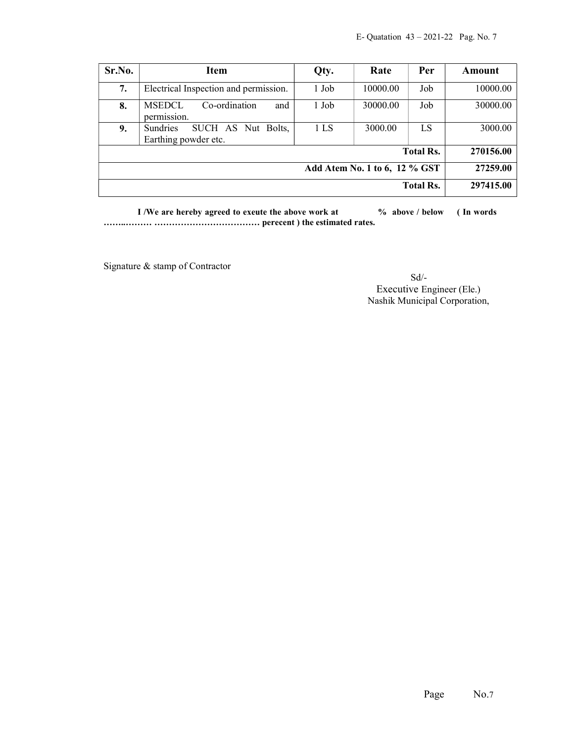| Sr.No.                                    | <b>Item</b>                                                   | Qty.  | Rate     | Per       | Amount    |
|-------------------------------------------|---------------------------------------------------------------|-------|----------|-----------|-----------|
| 7.                                        | Electrical Inspection and permission.                         | 1 Job | 10000.00 | Job       | 10000.00  |
| 8.                                        | <b>MSEDCL</b><br>Co-ordination<br>and<br>permission.          | 1 Job | 30000.00 | Job       | 30000.00  |
| 9.                                        | <b>Sundries</b><br>SUCH AS Nut Bolts,<br>Earthing powder etc. | 1 LS  | 3000.00  | <b>LS</b> | 3000.00   |
| <b>Total Rs.</b>                          |                                                               |       |          |           | 270156.00 |
| 27259.00<br>Add Atem No. 1 to 6, 12 % GST |                                                               |       |          |           |           |
| <b>Total Rs.</b>                          |                                                               |       |          | 297415.00 |           |

I /We are hereby agreed to exeute the above work at  $\%$  above / below (In words) ……..……… ……………………………… perecent ) the estimated rates.

Signature & stamp of Contractor

 Sd/- Executive Engineer (Ele.) Nashik Municipal Corporation,